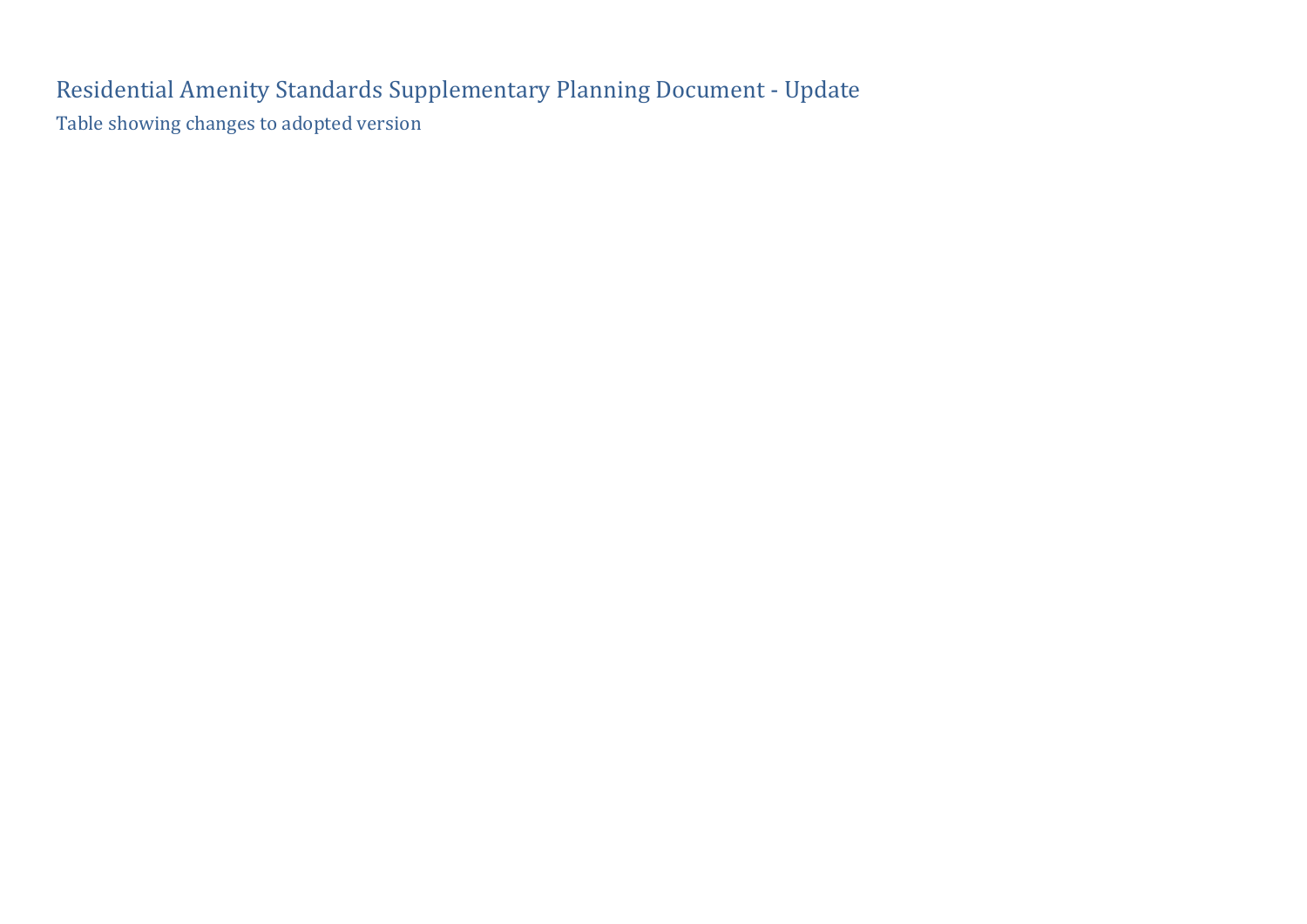Residential Amenity Standards Supplementary Planning Document - Update Table showing changes to adopted version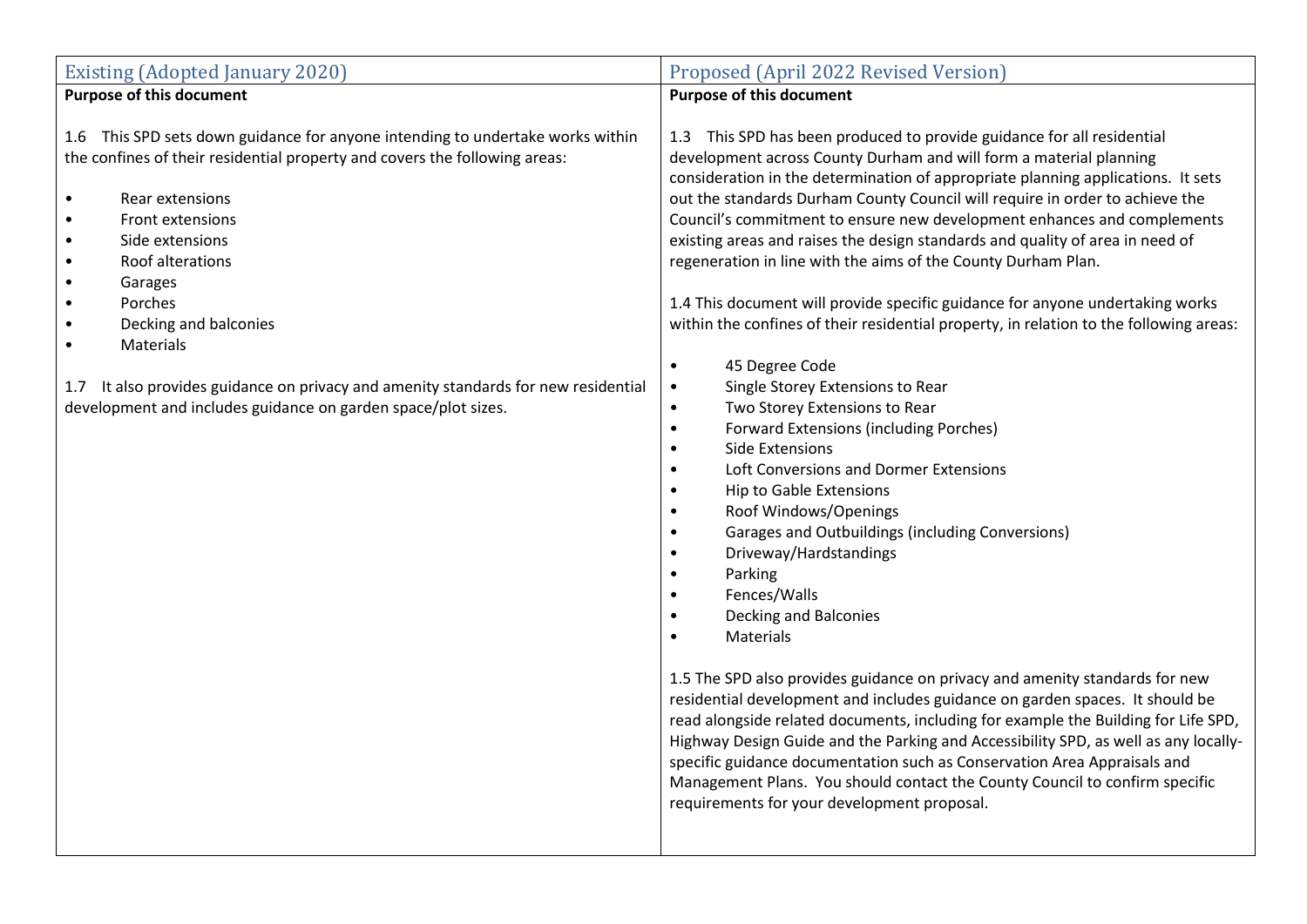| <b>Existing (Adopted January 2020)</b>                                                                                                                                                                                                                                                                                                                                                                                                                                                                                                                                                   | Proposed (April 2022 Revised Version)                                                                                                                                                                                                                                                                                                                                                                                                                                                                                                                                                                                                                                                                                                                                                                                                                                                                                                                                                                                                                                                                                                                                                                                                                                                                                                                                                                                                                                                                                                                                                                                                                                                                                                                                                           |
|------------------------------------------------------------------------------------------------------------------------------------------------------------------------------------------------------------------------------------------------------------------------------------------------------------------------------------------------------------------------------------------------------------------------------------------------------------------------------------------------------------------------------------------------------------------------------------------|-------------------------------------------------------------------------------------------------------------------------------------------------------------------------------------------------------------------------------------------------------------------------------------------------------------------------------------------------------------------------------------------------------------------------------------------------------------------------------------------------------------------------------------------------------------------------------------------------------------------------------------------------------------------------------------------------------------------------------------------------------------------------------------------------------------------------------------------------------------------------------------------------------------------------------------------------------------------------------------------------------------------------------------------------------------------------------------------------------------------------------------------------------------------------------------------------------------------------------------------------------------------------------------------------------------------------------------------------------------------------------------------------------------------------------------------------------------------------------------------------------------------------------------------------------------------------------------------------------------------------------------------------------------------------------------------------------------------------------------------------------------------------------------------------|
| <b>Purpose of this document</b>                                                                                                                                                                                                                                                                                                                                                                                                                                                                                                                                                          | <b>Purpose of this document</b>                                                                                                                                                                                                                                                                                                                                                                                                                                                                                                                                                                                                                                                                                                                                                                                                                                                                                                                                                                                                                                                                                                                                                                                                                                                                                                                                                                                                                                                                                                                                                                                                                                                                                                                                                                 |
| This SPD sets down guidance for anyone intending to undertake works within<br>$1.6\phantom{0}$<br>the confines of their residential property and covers the following areas:<br>Rear extensions<br>$\bullet$<br>Front extensions<br>$\bullet$<br>Side extensions<br>$\bullet$<br>Roof alterations<br>$\bullet$<br>Garages<br>$\bullet$<br>Porches<br>$\bullet$<br>Decking and balconies<br>$\bullet$<br>Materials<br>$\bullet$<br>It also provides guidance on privacy and amenity standards for new residential<br>1.7<br>development and includes guidance on garden space/plot sizes. | 1.3 This SPD has been produced to provide guidance for all residential<br>development across County Durham and will form a material planning<br>consideration in the determination of appropriate planning applications. It sets<br>out the standards Durham County Council will require in order to achieve the<br>Council's commitment to ensure new development enhances and complements<br>existing areas and raises the design standards and quality of area in need of<br>regeneration in line with the aims of the County Durham Plan.<br>1.4 This document will provide specific guidance for anyone undertaking works<br>within the confines of their residential property, in relation to the following areas:<br>45 Degree Code<br>$\bullet$<br>Single Storey Extensions to Rear<br>$\bullet$<br>Two Storey Extensions to Rear<br>$\bullet$<br><b>Forward Extensions (including Porches)</b><br>$\bullet$<br><b>Side Extensions</b><br>Loft Conversions and Dormer Extensions<br><b>Hip to Gable Extensions</b><br>Roof Windows/Openings<br>Garages and Outbuildings (including Conversions)<br>$\bullet$<br>Driveway/Hardstandings<br>Parking<br>Fences/Walls<br>$\bullet$<br>Decking and Balconies<br>$\bullet$<br>Materials<br>1.5 The SPD also provides guidance on privacy and amenity standards for new<br>residential development and includes guidance on garden spaces. It should be<br>read alongside related documents, including for example the Building for Life SPD,<br>Highway Design Guide and the Parking and Accessibility SPD, as well as any locally-<br>specific guidance documentation such as Conservation Area Appraisals and<br>Management Plans. You should contact the County Council to confirm specific<br>requirements for your development proposal. |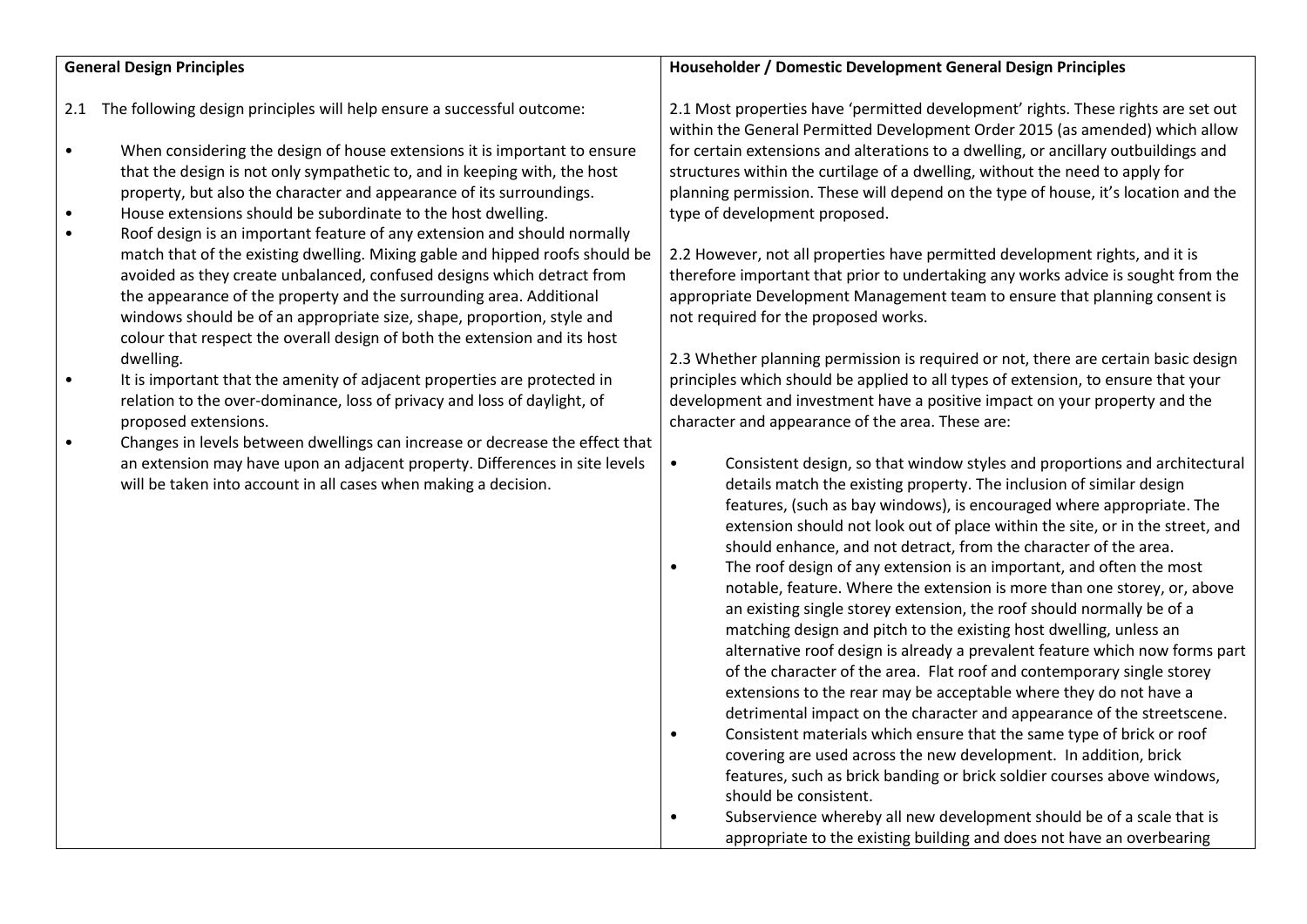## **General Design Principles**

- 2.1 The following design principles will help ensure a successful outcome:
- When considering the design of house extensions it is important to ensure that the design is not only sympathetic to, and in keeping with, the host property, but also the character and appearance of its surroundings.
- House extensions should be subordinate to the host dwelling.
- Roof design is an important feature of any extension and should normally match that of the existing dwelling. Mixing gable and hipped roofs should be avoided as they create unbalanced, confused designs which detract from the appearance of the property and the surrounding area. Additional windows should be of an appropriate size, shape, proportion, style and colour that respect the overall design of both the extension and its host dwelling.
- It is important that the amenity of adjacent properties are protected in relation to the over-dominance, loss of privacy and loss of daylight, of proposed extensions.
- Changes in levels between dwellings can increase or decrease the effect that an extension may have upon an adjacent property. Differences in site levels will be taken into account in all cases when making a decision.

## **Householder / Domestic Development General Design Principles**

2.1 Most properties have 'permitted development' rights. These rights are set out within the General Permitted Development Order 2015 (as amended) which allow for certain extensions and alterations to a dwelling, or ancillary outbuildings and structures within the curtilage of a dwelling, without the need to apply for planning permission. These will depend on the type of house, it's location and the type of development proposed.

2.2 However, not all properties have permitted development rights, and it is therefore important that prior to undertaking any works advice is sought from the appropriate Development Management team to ensure that planning consent is not required for the proposed works.

2.3 Whether planning permission is required or not, there are certain basic design principles which should be applied to all types of extension, to ensure that your development and investment have a positive impact on your property and the character and appearance of the area. These are:

- Consistent design, so that window styles and proportions and architectural details match the existing property. The inclusion of similar design features, (such as bay windows), is encouraged where appropriate. The extension should not look out of place within the site, or in the street, and should enhance, and not detract, from the character of the area.
- The roof design of any extension is an important, and often the most notable, feature. Where the extension is more than one storey, or, above an existing single storey extension, the roof should normally be of a matching design and pitch to the existing host dwelling, unless an alternative roof design is already a prevalent feature which now forms part of the character of the area. Flat roof and contemporary single storey extensions to the rear may be acceptable where they do not have a detrimental impact on the character and appearance of the streetscene.
- Consistent materials which ensure that the same type of brick or roof covering are used across the new development. In addition, brick features, such as brick banding or brick soldier courses above windows, should be consistent.

• Subservience whereby all new development should be of a scale that is appropriate to the existing building and does not have an overbearing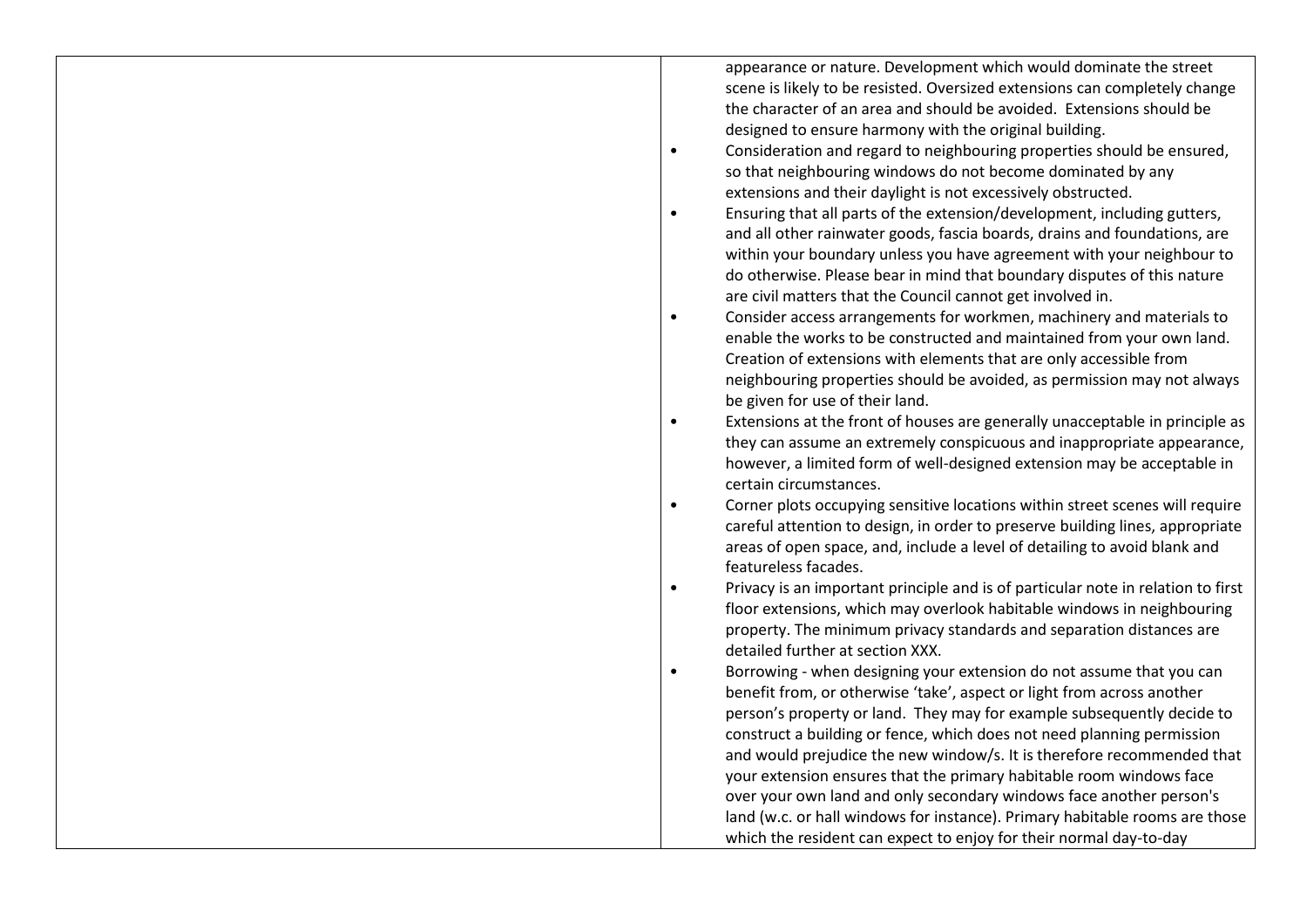appearance or nature. Development which would dominate the street scene is likely to be resisted. Oversized extensions can completely change the character of an area and should be avoided. Extensions should be designed to ensure harmony with the original building.

- Consideration and regard to neighbouring properties should be ensured, so that neighbouring windows do not become dominated by any extensions and their daylight is not excessively obstructed.
- Ensuring that all parts of the extension/development, including gutters, and all other rainwater goods, fascia boards, drains and foundations, are within your boundary unless you have agreement with your neighbour to do otherwise. Please bear in mind that boundary disputes of this nature are civil matters that the Council cannot get involved in.
- Consider access arrangements for workmen, machinery and materials to enable the works to be constructed and maintained from your own land. Creation of extensions with elements that are only accessible from neighbouring properties should be avoided, as permission may not always be given for use of their land.
- Extensions at the front of houses are generally unacceptable in principle as they can assume an extremely conspicuous and inappropriate appearance, however, a limited form of well-designed extension may be acceptable in certain circumstances.
- Corner plots occupying sensitive locations within street scenes will require careful attention to design, in order to preserve building lines, appropriate areas of open space, and, include a level of detailing to avoid blank and featureless facades.
- Privacy is an important principle and is of particular note in relation to first floor extensions, which may overlook habitable windows in neighbouring property. The minimum privacy standards and separation distances are detailed further at section XXX.
- Borrowing when designing your extension do not assume that you can benefit from, or otherwise 'take', aspect or light from across another person's property or land. They may for example subsequently decide to construct a building or fence, which does not need planning permission and would prejudice the new window/s. It is therefore recommended that your extension ensures that the primary habitable room windows face over your own land and only secondary windows face another person's land (w.c. or hall windows for instance). Primary habitable rooms are those which the resident can expect to enjoy for their normal day-to-day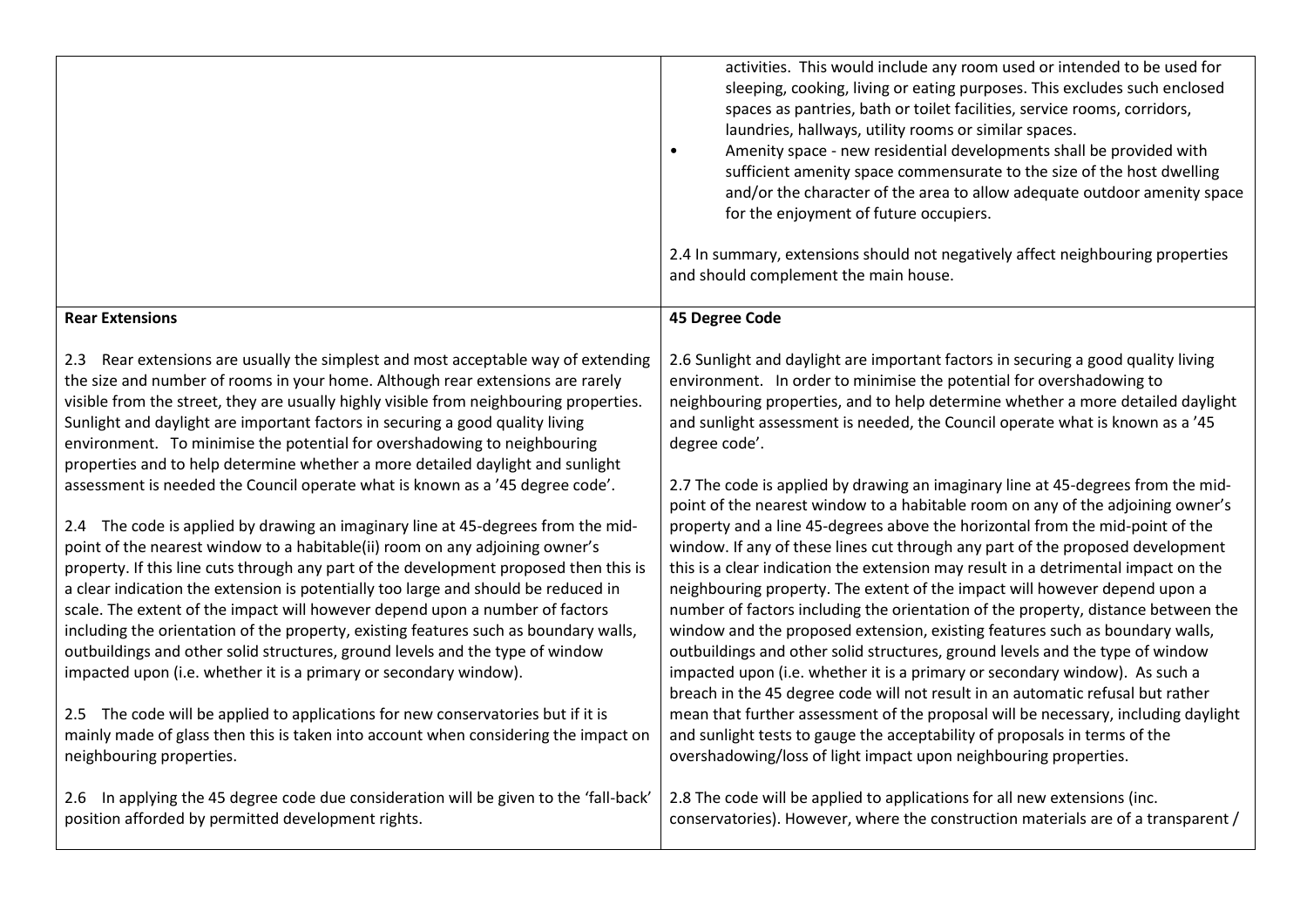|                                                                                                                                                                                                                                                                                                                                                                                                                                                                                                                                                                                                                                                                                                                                                                | activities. This would include any room used or intended to be used for<br>sleeping, cooking, living or eating purposes. This excludes such enclosed<br>spaces as pantries, bath or toilet facilities, service rooms, corridors,<br>laundries, hallways, utility rooms or similar spaces.<br>Amenity space - new residential developments shall be provided with<br>$\bullet$<br>sufficient amenity space commensurate to the size of the host dwelling<br>and/or the character of the area to allow adequate outdoor amenity space<br>for the enjoyment of future occupiers.<br>2.4 In summary, extensions should not negatively affect neighbouring properties<br>and should complement the main house.                                                                                                                                                                                                                          |
|----------------------------------------------------------------------------------------------------------------------------------------------------------------------------------------------------------------------------------------------------------------------------------------------------------------------------------------------------------------------------------------------------------------------------------------------------------------------------------------------------------------------------------------------------------------------------------------------------------------------------------------------------------------------------------------------------------------------------------------------------------------|------------------------------------------------------------------------------------------------------------------------------------------------------------------------------------------------------------------------------------------------------------------------------------------------------------------------------------------------------------------------------------------------------------------------------------------------------------------------------------------------------------------------------------------------------------------------------------------------------------------------------------------------------------------------------------------------------------------------------------------------------------------------------------------------------------------------------------------------------------------------------------------------------------------------------------|
| <b>Rear Extensions</b>                                                                                                                                                                                                                                                                                                                                                                                                                                                                                                                                                                                                                                                                                                                                         | 45 Degree Code                                                                                                                                                                                                                                                                                                                                                                                                                                                                                                                                                                                                                                                                                                                                                                                                                                                                                                                     |
| Rear extensions are usually the simplest and most acceptable way of extending<br>2.3<br>the size and number of rooms in your home. Although rear extensions are rarely<br>visible from the street, they are usually highly visible from neighbouring properties.<br>Sunlight and daylight are important factors in securing a good quality living<br>environment. To minimise the potential for overshadowing to neighbouring<br>properties and to help determine whether a more detailed daylight and sunlight                                                                                                                                                                                                                                                | 2.6 Sunlight and daylight are important factors in securing a good quality living<br>environment. In order to minimise the potential for overshadowing to<br>neighbouring properties, and to help determine whether a more detailed daylight<br>and sunlight assessment is needed, the Council operate what is known as a '45<br>degree code'.                                                                                                                                                                                                                                                                                                                                                                                                                                                                                                                                                                                     |
| assessment is needed the Council operate what is known as a '45 degree code'.<br>2.4 The code is applied by drawing an imaginary line at 45-degrees from the mid-<br>point of the nearest window to a habitable(ii) room on any adjoining owner's<br>property. If this line cuts through any part of the development proposed then this is<br>a clear indication the extension is potentially too large and should be reduced in<br>scale. The extent of the impact will however depend upon a number of factors<br>including the orientation of the property, existing features such as boundary walls,<br>outbuildings and other solid structures, ground levels and the type of window<br>impacted upon (i.e. whether it is a primary or secondary window). | 2.7 The code is applied by drawing an imaginary line at 45-degrees from the mid-<br>point of the nearest window to a habitable room on any of the adjoining owner's<br>property and a line 45-degrees above the horizontal from the mid-point of the<br>window. If any of these lines cut through any part of the proposed development<br>this is a clear indication the extension may result in a detrimental impact on the<br>neighbouring property. The extent of the impact will however depend upon a<br>number of factors including the orientation of the property, distance between the<br>window and the proposed extension, existing features such as boundary walls,<br>outbuildings and other solid structures, ground levels and the type of window<br>impacted upon (i.e. whether it is a primary or secondary window). As such a<br>breach in the 45 degree code will not result in an automatic refusal but rather |
| 2.5 The code will be applied to applications for new conservatories but if it is<br>mainly made of glass then this is taken into account when considering the impact on<br>neighbouring properties.                                                                                                                                                                                                                                                                                                                                                                                                                                                                                                                                                            | mean that further assessment of the proposal will be necessary, including daylight<br>and sunlight tests to gauge the acceptability of proposals in terms of the<br>overshadowing/loss of light impact upon neighbouring properties.                                                                                                                                                                                                                                                                                                                                                                                                                                                                                                                                                                                                                                                                                               |
| In applying the 45 degree code due consideration will be given to the 'fall-back'<br>2.6<br>position afforded by permitted development rights.                                                                                                                                                                                                                                                                                                                                                                                                                                                                                                                                                                                                                 | 2.8 The code will be applied to applications for all new extensions (inc.<br>conservatories). However, where the construction materials are of a transparent /                                                                                                                                                                                                                                                                                                                                                                                                                                                                                                                                                                                                                                                                                                                                                                     |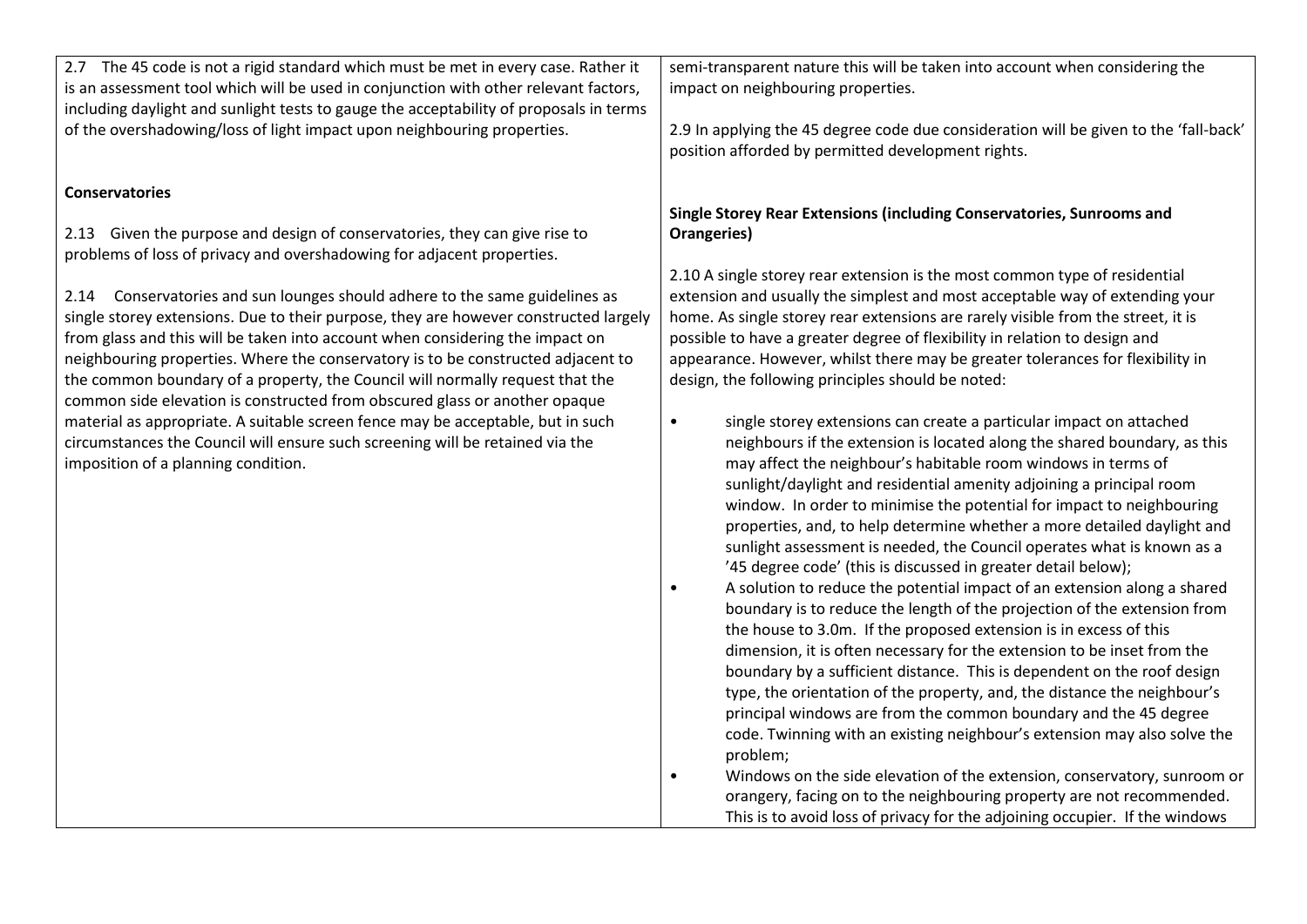| 2.7 The 45 code is not a rigid standard which must be met in every case. Rather it     | semi-transparent nature this will be taken into account when considering the          |
|----------------------------------------------------------------------------------------|---------------------------------------------------------------------------------------|
| is an assessment tool which will be used in conjunction with other relevant factors,   | impact on neighbouring properties.                                                    |
| including daylight and sunlight tests to gauge the acceptability of proposals in terms |                                                                                       |
| of the overshadowing/loss of light impact upon neighbouring properties.                | 2.9 In applying the 45 degree code due consideration will be given to the 'fall-back' |
|                                                                                        | position afforded by permitted development rights.                                    |
|                                                                                        |                                                                                       |
| <b>Conservatories</b>                                                                  |                                                                                       |
|                                                                                        | Single Storey Rear Extensions (including Conservatories, Sunrooms and                 |
| 2.13 Given the purpose and design of conservatories, they can give rise to             | Orangeries)                                                                           |
| problems of loss of privacy and overshadowing for adjacent properties.                 |                                                                                       |
|                                                                                        | 2.10 A single storey rear extension is the most common type of residential            |
| 2.14 Conservatories and sun lounges should adhere to the same guidelines as            | extension and usually the simplest and most acceptable way of extending your          |
| single storey extensions. Due to their purpose, they are however constructed largely   | home. As single storey rear extensions are rarely visible from the street, it is      |
| from glass and this will be taken into account when considering the impact on          | possible to have a greater degree of flexibility in relation to design and            |
|                                                                                        |                                                                                       |
| neighbouring properties. Where the conservatory is to be constructed adjacent to       | appearance. However, whilst there may be greater tolerances for flexibility in        |
| the common boundary of a property, the Council will normally request that the          | design, the following principles should be noted:                                     |
| common side elevation is constructed from obscured glass or another opaque             |                                                                                       |
| material as appropriate. A suitable screen fence may be acceptable, but in such        | single storey extensions can create a particular impact on attached<br>$\bullet$      |
| circumstances the Council will ensure such screening will be retained via the          | neighbours if the extension is located along the shared boundary, as this             |
| imposition of a planning condition.                                                    | may affect the neighbour's habitable room windows in terms of                         |
|                                                                                        | sunlight/daylight and residential amenity adjoining a principal room                  |
|                                                                                        | window. In order to minimise the potential for impact to neighbouring                 |
|                                                                                        | properties, and, to help determine whether a more detailed daylight and               |
|                                                                                        | sunlight assessment is needed, the Council operates what is known as a                |
|                                                                                        | '45 degree code' (this is discussed in greater detail below);                         |
|                                                                                        | A solution to reduce the potential impact of an extension along a shared<br>$\bullet$ |
|                                                                                        | boundary is to reduce the length of the projection of the extension from              |
|                                                                                        | the house to 3.0m. If the proposed extension is in excess of this                     |
|                                                                                        | dimension, it is often necessary for the extension to be inset from the               |
|                                                                                        | boundary by a sufficient distance. This is dependent on the roof design               |
|                                                                                        | type, the orientation of the property, and, the distance the neighbour's              |
|                                                                                        | principal windows are from the common boundary and the 45 degree                      |
|                                                                                        | code. Twinning with an existing neighbour's extension may also solve the              |
|                                                                                        | problem;                                                                              |
|                                                                                        | Windows on the side elevation of the extension, conservatory, sunroom or<br>$\bullet$ |
|                                                                                        | orangery, facing on to the neighbouring property are not recommended.                 |
|                                                                                        |                                                                                       |
|                                                                                        | This is to avoid loss of privacy for the adjoining occupier. If the windows           |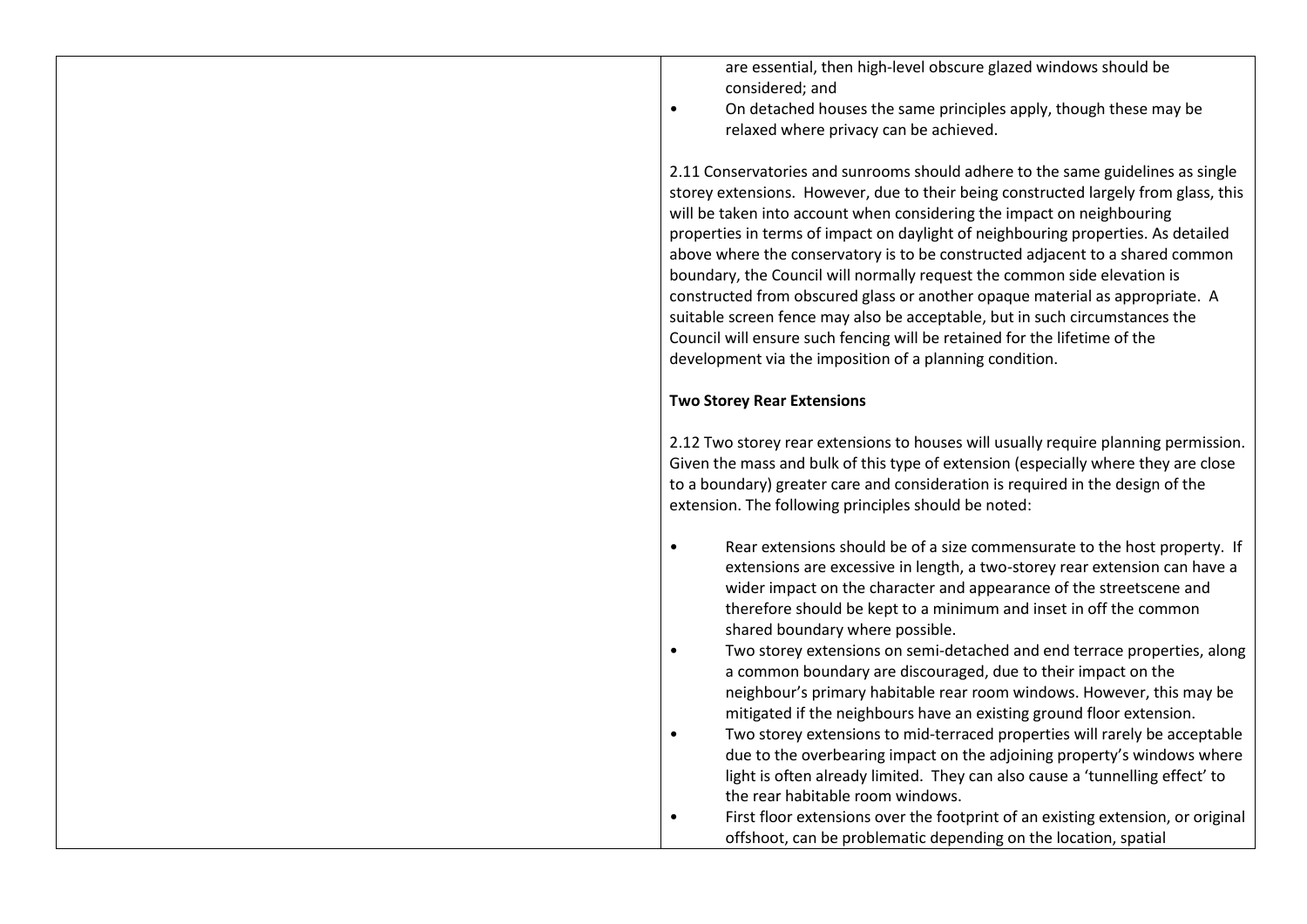are essential, then high-level obscure glazed windows should be considered; and

• On detached houses the same principles apply, though these may be relaxed where privacy can be achieved.

2.11 Conservatories and sunrooms should adhere to the same guidelines as single storey extensions. However, due to their being constructed largely from glass, this will be taken into account when considering the impact on neighbouring properties in terms of impact on daylight of neighbouring properties. As detailed above where the conservatory is to be constructed adjacent to a shared common boundary, the Council will normally request the common side elevation is constructed from obscured glass or another opaque material as appropriate. A suitable screen fence may also be acceptable, but in such circumstances the Council will ensure such fencing will be retained for the lifetime of the development via the imposition of a planning condition.

## **Two Storey Rear Extensions**

2.12 Two storey rear extensions to houses will usually require planning permission. Given the mass and bulk of this type of extension (especially where they are close to a boundary) greater care and consideration is required in the design of the extension. The following principles should be noted:

- Rear extensions should be of a size commensurate to the host property. If extensions are excessive in length, a two-storey rear extension can have a wider impact on the character and appearance of the streetscene and therefore should be kept to a minimum and inset in off the common shared boundary where possible.
- Two storey extensions on semi-detached and end terrace properties, along a common boundary are discouraged, due to their impact on the neighbour's primary habitable rear room windows. However, this may be mitigated if the neighbours have an existing ground floor extension.
- Two storey extensions to mid-terraced properties will rarely be acceptable due to the overbearing impact on the adjoining property's windows where light is often already limited. They can also cause a 'tunnelling effect' to the rear habitable room windows.

• First floor extensions over the footprint of an existing extension, or original offshoot, can be problematic depending on the location, spatial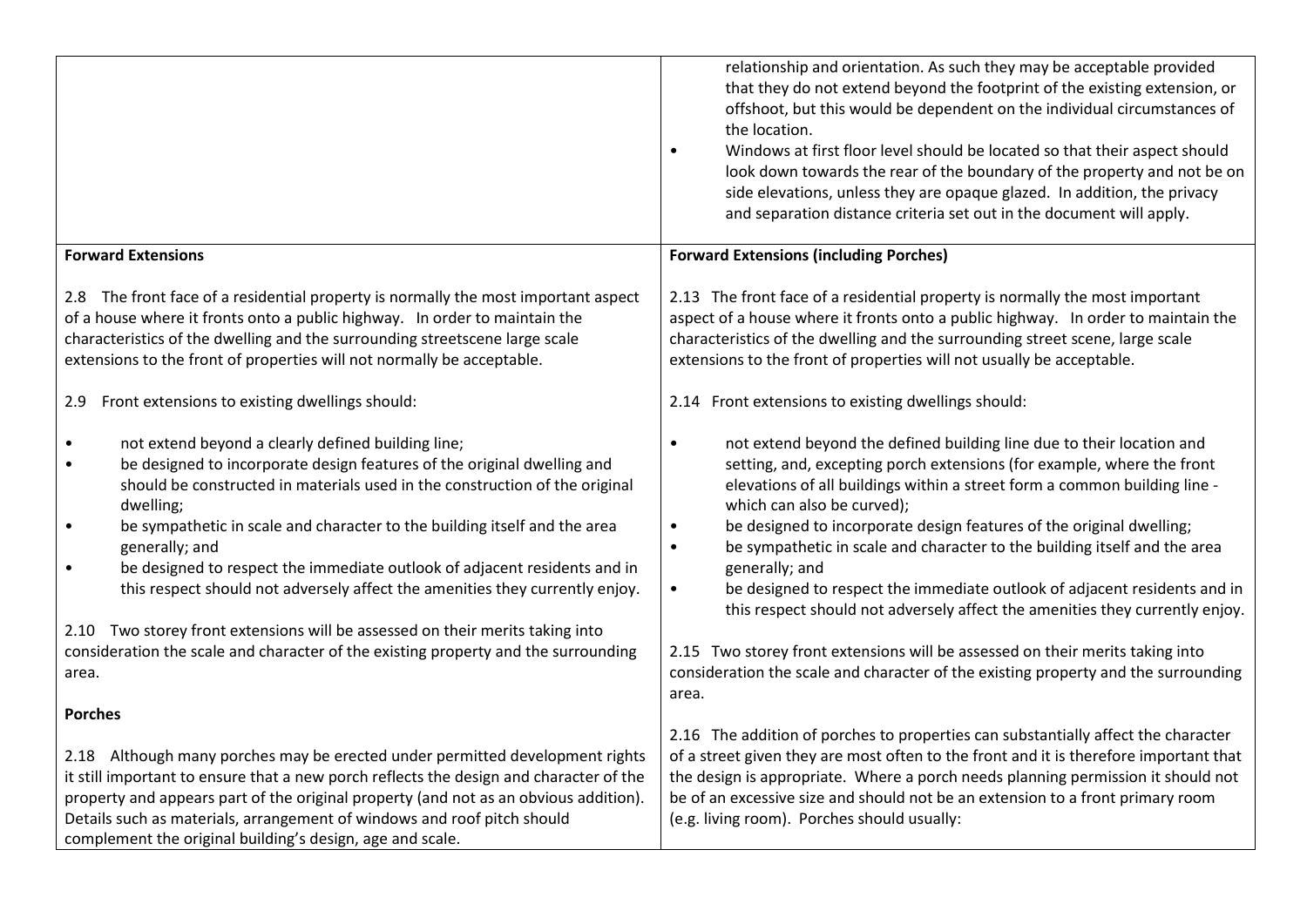|                                                                                                                                                                                                                                                                                                                                                                                                                                                                                                                                                                                                                                                                                                                           | relationship and orientation. As such they may be acceptable provided<br>that they do not extend beyond the footprint of the existing extension, or<br>offshoot, but this would be dependent on the individual circumstances of<br>the location.<br>Windows at first floor level should be located so that their aspect should<br>$\bullet$<br>look down towards the rear of the boundary of the property and not be on<br>side elevations, unless they are opaque glazed. In addition, the privacy<br>and separation distance criteria set out in the document will apply.                                                                                                                                                                                                                                               |
|---------------------------------------------------------------------------------------------------------------------------------------------------------------------------------------------------------------------------------------------------------------------------------------------------------------------------------------------------------------------------------------------------------------------------------------------------------------------------------------------------------------------------------------------------------------------------------------------------------------------------------------------------------------------------------------------------------------------------|---------------------------------------------------------------------------------------------------------------------------------------------------------------------------------------------------------------------------------------------------------------------------------------------------------------------------------------------------------------------------------------------------------------------------------------------------------------------------------------------------------------------------------------------------------------------------------------------------------------------------------------------------------------------------------------------------------------------------------------------------------------------------------------------------------------------------|
| <b>Forward Extensions</b>                                                                                                                                                                                                                                                                                                                                                                                                                                                                                                                                                                                                                                                                                                 | <b>Forward Extensions (including Porches)</b>                                                                                                                                                                                                                                                                                                                                                                                                                                                                                                                                                                                                                                                                                                                                                                             |
| 2.8 The front face of a residential property is normally the most important aspect<br>of a house where it fronts onto a public highway. In order to maintain the<br>characteristics of the dwelling and the surrounding streetscene large scale<br>extensions to the front of properties will not normally be acceptable.                                                                                                                                                                                                                                                                                                                                                                                                 | 2.13 The front face of a residential property is normally the most important<br>aspect of a house where it fronts onto a public highway. In order to maintain the<br>characteristics of the dwelling and the surrounding street scene, large scale<br>extensions to the front of properties will not usually be acceptable.                                                                                                                                                                                                                                                                                                                                                                                                                                                                                               |
| 2.9 Front extensions to existing dwellings should:                                                                                                                                                                                                                                                                                                                                                                                                                                                                                                                                                                                                                                                                        | 2.14 Front extensions to existing dwellings should:                                                                                                                                                                                                                                                                                                                                                                                                                                                                                                                                                                                                                                                                                                                                                                       |
| not extend beyond a clearly defined building line;<br>$\bullet$<br>be designed to incorporate design features of the original dwelling and<br>$\bullet$<br>should be constructed in materials used in the construction of the original<br>dwelling;<br>be sympathetic in scale and character to the building itself and the area<br>$\bullet$<br>generally; and<br>be designed to respect the immediate outlook of adjacent residents and in<br>$\bullet$<br>this respect should not adversely affect the amenities they currently enjoy.<br>2.10 Two storey front extensions will be assessed on their merits taking into<br>consideration the scale and character of the existing property and the surrounding<br>area. | not extend beyond the defined building line due to their location and<br>$\bullet$<br>setting, and, excepting porch extensions (for example, where the front<br>elevations of all buildings within a street form a common building line -<br>which can also be curved);<br>be designed to incorporate design features of the original dwelling;<br>$\bullet$<br>be sympathetic in scale and character to the building itself and the area<br>$\bullet$<br>generally; and<br>be designed to respect the immediate outlook of adjacent residents and in<br>$\bullet$<br>this respect should not adversely affect the amenities they currently enjoy.<br>2.15 Two storey front extensions will be assessed on their merits taking into<br>consideration the scale and character of the existing property and the surrounding |
|                                                                                                                                                                                                                                                                                                                                                                                                                                                                                                                                                                                                                                                                                                                           | area.                                                                                                                                                                                                                                                                                                                                                                                                                                                                                                                                                                                                                                                                                                                                                                                                                     |
| <b>Porches</b>                                                                                                                                                                                                                                                                                                                                                                                                                                                                                                                                                                                                                                                                                                            | 2.16 The addition of porches to properties can substantially affect the character                                                                                                                                                                                                                                                                                                                                                                                                                                                                                                                                                                                                                                                                                                                                         |
| 2.18 Although many porches may be erected under permitted development rights<br>it still important to ensure that a new porch reflects the design and character of the<br>property and appears part of the original property (and not as an obvious addition).<br>Details such as materials, arrangement of windows and roof pitch should<br>complement the original building's design, age and scale.                                                                                                                                                                                                                                                                                                                    | of a street given they are most often to the front and it is therefore important that<br>the design is appropriate. Where a porch needs planning permission it should not<br>be of an excessive size and should not be an extension to a front primary room<br>(e.g. living room). Porches should usually:                                                                                                                                                                                                                                                                                                                                                                                                                                                                                                                |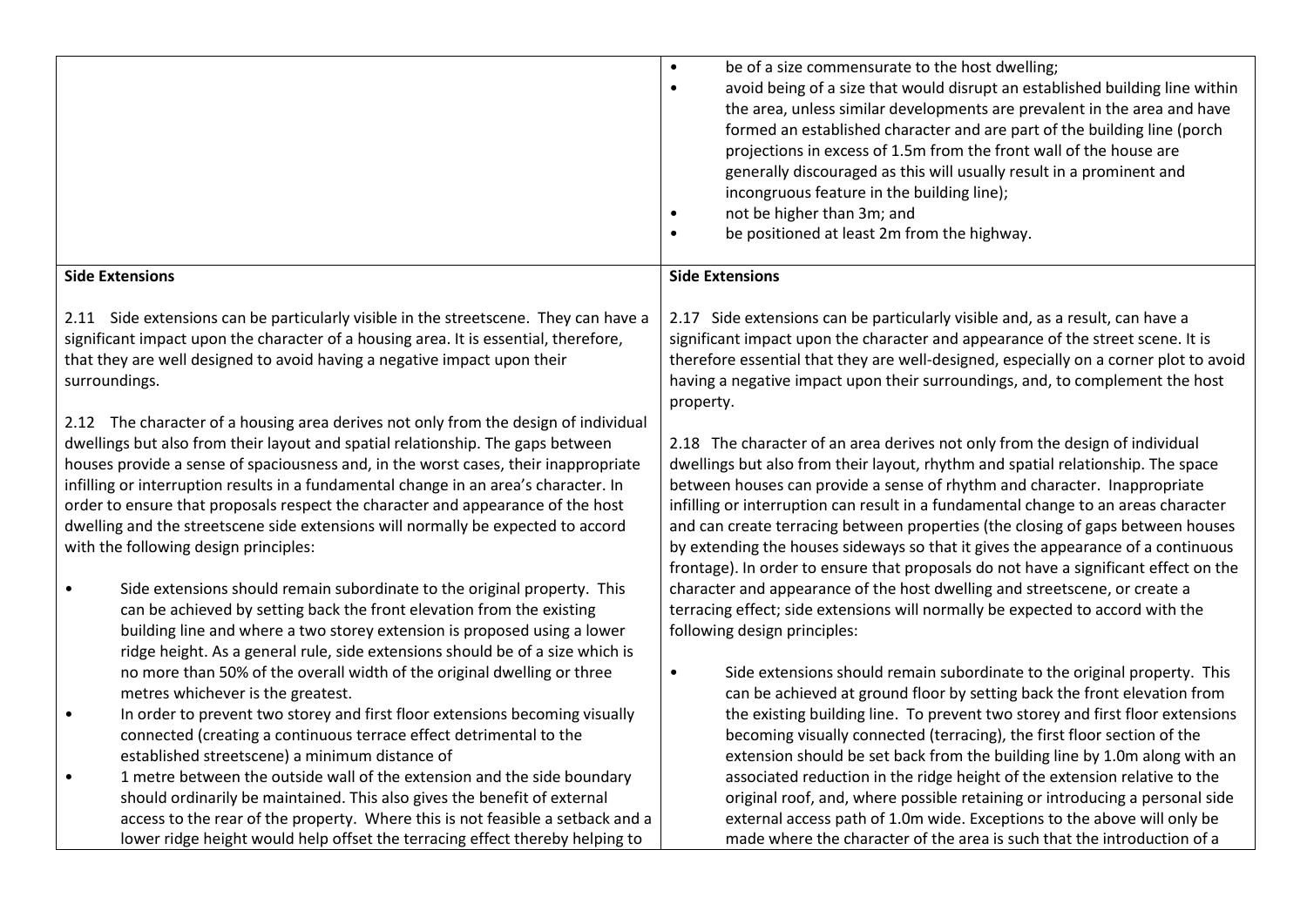|                        |                                                                                                                                                                                                                                                                                                                                                                                                                                                                                                                                                                                                                                                   | $\bullet$<br>be of a size commensurate to the host dwelling;<br>avoid being of a size that would disrupt an established building line within<br>$\bullet$<br>the area, unless similar developments are prevalent in the area and have<br>formed an established character and are part of the building line (porch<br>projections in excess of 1.5m from the front wall of the house are<br>generally discouraged as this will usually result in a prominent and<br>incongruous feature in the building line);<br>not be higher than 3m; and<br>$\bullet$<br>be positioned at least 2m from the highway.<br>$\bullet$                                                             |
|------------------------|---------------------------------------------------------------------------------------------------------------------------------------------------------------------------------------------------------------------------------------------------------------------------------------------------------------------------------------------------------------------------------------------------------------------------------------------------------------------------------------------------------------------------------------------------------------------------------------------------------------------------------------------------|----------------------------------------------------------------------------------------------------------------------------------------------------------------------------------------------------------------------------------------------------------------------------------------------------------------------------------------------------------------------------------------------------------------------------------------------------------------------------------------------------------------------------------------------------------------------------------------------------------------------------------------------------------------------------------|
| <b>Side Extensions</b> |                                                                                                                                                                                                                                                                                                                                                                                                                                                                                                                                                                                                                                                   | <b>Side Extensions</b>                                                                                                                                                                                                                                                                                                                                                                                                                                                                                                                                                                                                                                                           |
| surroundings.          | 2.11 Side extensions can be particularly visible in the streetscene. They can have a<br>significant impact upon the character of a housing area. It is essential, therefore,<br>that they are well designed to avoid having a negative impact upon their                                                                                                                                                                                                                                                                                                                                                                                          | 2.17 Side extensions can be particularly visible and, as a result, can have a<br>significant impact upon the character and appearance of the street scene. It is<br>therefore essential that they are well-designed, especially on a corner plot to avoid<br>having a negative impact upon their surroundings, and, to complement the host<br>property.                                                                                                                                                                                                                                                                                                                          |
| $\bullet$              | 2.12 The character of a housing area derives not only from the design of individual<br>dwellings but also from their layout and spatial relationship. The gaps between<br>houses provide a sense of spaciousness and, in the worst cases, their inappropriate<br>infilling or interruption results in a fundamental change in an area's character. In<br>order to ensure that proposals respect the character and appearance of the host<br>dwelling and the streetscene side extensions will normally be expected to accord<br>with the following design principles:<br>Side extensions should remain subordinate to the original property. This | 2.18 The character of an area derives not only from the design of individual<br>dwellings but also from their layout, rhythm and spatial relationship. The space<br>between houses can provide a sense of rhythm and character. Inappropriate<br>infilling or interruption can result in a fundamental change to an areas character<br>and can create terracing between properties (the closing of gaps between houses<br>by extending the houses sideways so that it gives the appearance of a continuous<br>frontage). In order to ensure that proposals do not have a significant effect on the<br>character and appearance of the host dwelling and streetscene, or create a |
|                        | can be achieved by setting back the front elevation from the existing<br>building line and where a two storey extension is proposed using a lower<br>ridge height. As a general rule, side extensions should be of a size which is<br>no more than 50% of the overall width of the original dwelling or three                                                                                                                                                                                                                                                                                                                                     | terracing effect; side extensions will normally be expected to accord with the<br>following design principles:<br>Side extensions should remain subordinate to the original property. This<br>$\bullet$                                                                                                                                                                                                                                                                                                                                                                                                                                                                          |
| $\bullet$              | metres whichever is the greatest.<br>In order to prevent two storey and first floor extensions becoming visually<br>connected (creating a continuous terrace effect detrimental to the<br>established streetscene) a minimum distance of                                                                                                                                                                                                                                                                                                                                                                                                          | can be achieved at ground floor by setting back the front elevation from<br>the existing building line. To prevent two storey and first floor extensions<br>becoming visually connected (terracing), the first floor section of the<br>extension should be set back from the building line by 1.0m along with an                                                                                                                                                                                                                                                                                                                                                                 |
| $\bullet$              | 1 metre between the outside wall of the extension and the side boundary<br>should ordinarily be maintained. This also gives the benefit of external<br>access to the rear of the property. Where this is not feasible a setback and a<br>lower ridge height would help offset the terracing effect thereby helping to                                                                                                                                                                                                                                                                                                                             | associated reduction in the ridge height of the extension relative to the<br>original roof, and, where possible retaining or introducing a personal side<br>external access path of 1.0m wide. Exceptions to the above will only be<br>made where the character of the area is such that the introduction of a                                                                                                                                                                                                                                                                                                                                                                   |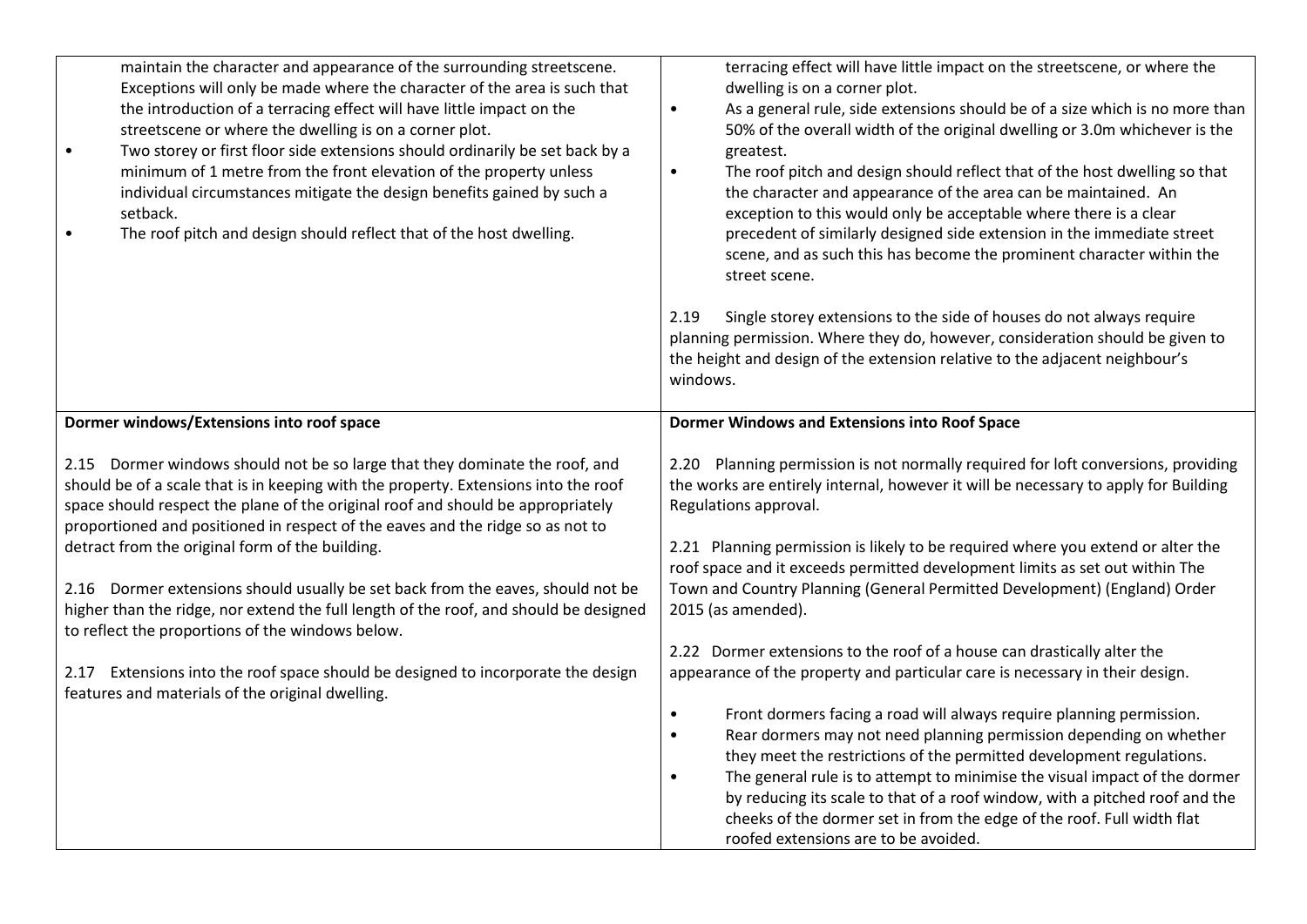| maintain the character and appearance of the surrounding streetscene.<br>Exceptions will only be made where the character of the area is such that<br>the introduction of a terracing effect will have little impact on the<br>streetscene or where the dwelling is on a corner plot.<br>Two storey or first floor side extensions should ordinarily be set back by a<br>$\bullet$<br>minimum of 1 metre from the front elevation of the property unless<br>individual circumstances mitigate the design benefits gained by such a<br>setback.<br>The roof pitch and design should reflect that of the host dwelling.                                                                                                                                              | terracing effect will have little impact on the streetscene, or where the<br>dwelling is on a corner plot.<br>As a general rule, side extensions should be of a size which is no more than<br>$\bullet$<br>50% of the overall width of the original dwelling or 3.0m whichever is the<br>greatest.<br>The roof pitch and design should reflect that of the host dwelling so that<br>$\bullet$<br>the character and appearance of the area can be maintained. An<br>exception to this would only be acceptable where there is a clear<br>precedent of similarly designed side extension in the immediate street<br>scene, and as such this has become the prominent character within the<br>street scene.<br>2.19<br>Single storey extensions to the side of houses do not always require<br>planning permission. Where they do, however, consideration should be given to<br>the height and design of the extension relative to the adjacent neighbour's<br>windows. |
|--------------------------------------------------------------------------------------------------------------------------------------------------------------------------------------------------------------------------------------------------------------------------------------------------------------------------------------------------------------------------------------------------------------------------------------------------------------------------------------------------------------------------------------------------------------------------------------------------------------------------------------------------------------------------------------------------------------------------------------------------------------------|----------------------------------------------------------------------------------------------------------------------------------------------------------------------------------------------------------------------------------------------------------------------------------------------------------------------------------------------------------------------------------------------------------------------------------------------------------------------------------------------------------------------------------------------------------------------------------------------------------------------------------------------------------------------------------------------------------------------------------------------------------------------------------------------------------------------------------------------------------------------------------------------------------------------------------------------------------------------|
| Dormer windows/Extensions into roof space                                                                                                                                                                                                                                                                                                                                                                                                                                                                                                                                                                                                                                                                                                                          | <b>Dormer Windows and Extensions into Roof Space</b>                                                                                                                                                                                                                                                                                                                                                                                                                                                                                                                                                                                                                                                                                                                                                                                                                                                                                                                 |
| 2.15 Dormer windows should not be so large that they dominate the roof, and<br>should be of a scale that is in keeping with the property. Extensions into the roof<br>space should respect the plane of the original roof and should be appropriately<br>proportioned and positioned in respect of the eaves and the ridge so as not to<br>detract from the original form of the building.<br>2.16 Dormer extensions should usually be set back from the eaves, should not be<br>higher than the ridge, nor extend the full length of the roof, and should be designed<br>to reflect the proportions of the windows below.<br>2.17 Extensions into the roof space should be designed to incorporate the design<br>features and materials of the original dwelling. | 2.20 Planning permission is not normally required for loft conversions, providing<br>the works are entirely internal, however it will be necessary to apply for Building<br>Regulations approval.<br>2.21 Planning permission is likely to be required where you extend or alter the<br>roof space and it exceeds permitted development limits as set out within The<br>Town and Country Planning (General Permitted Development) (England) Order<br>2015 (as amended).<br>2.22 Dormer extensions to the roof of a house can drastically alter the<br>appearance of the property and particular care is necessary in their design.<br>Front dormers facing a road will always require planning permission.<br>$\bullet$                                                                                                                                                                                                                                              |
|                                                                                                                                                                                                                                                                                                                                                                                                                                                                                                                                                                                                                                                                                                                                                                    | Rear dormers may not need planning permission depending on whether<br>$\bullet$<br>they meet the restrictions of the permitted development regulations.<br>The general rule is to attempt to minimise the visual impact of the dormer<br>$\bullet$<br>by reducing its scale to that of a roof window, with a pitched roof and the<br>cheeks of the dormer set in from the edge of the roof. Full width flat<br>roofed extensions are to be avoided.                                                                                                                                                                                                                                                                                                                                                                                                                                                                                                                  |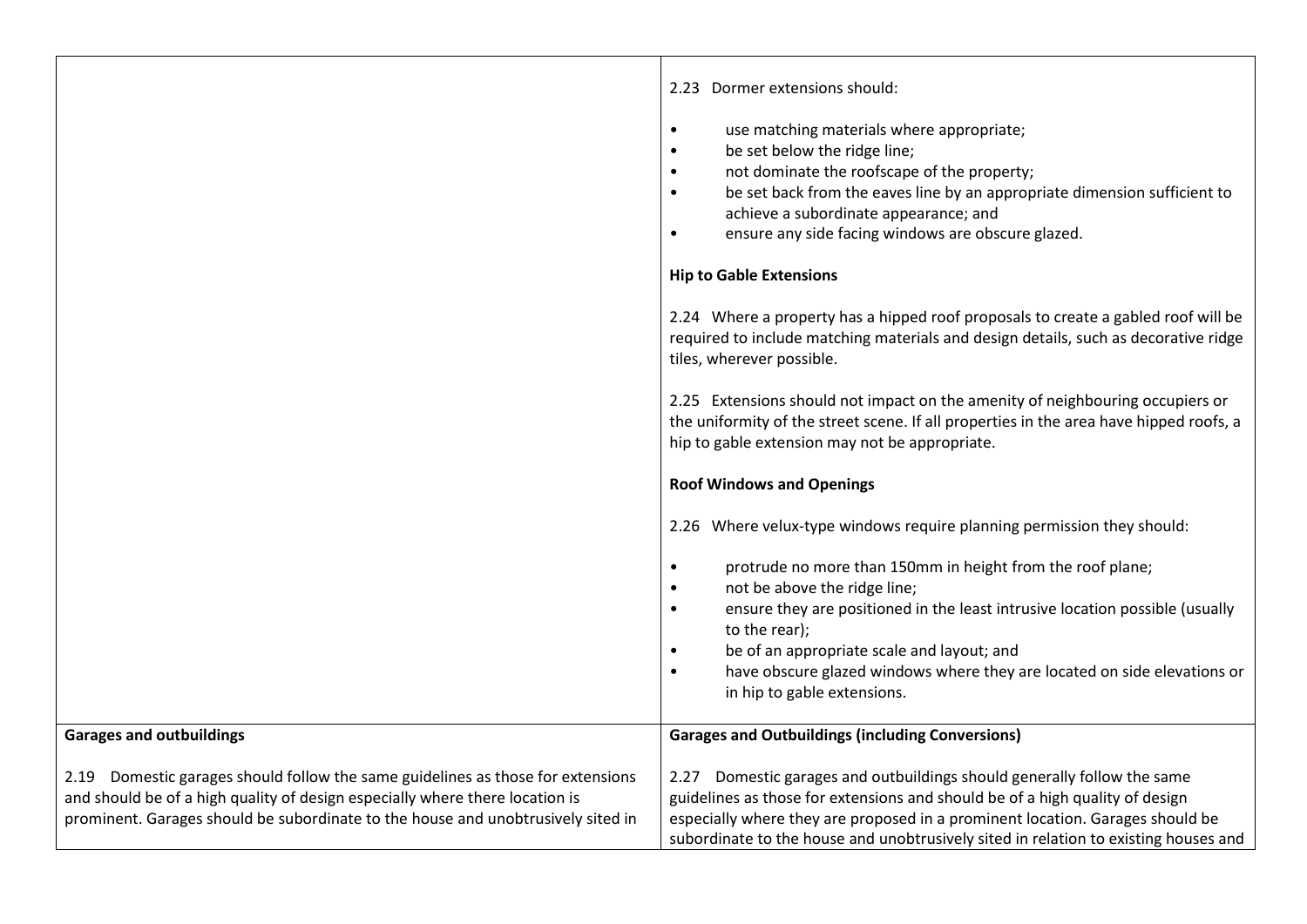|                                                                                  | 2.23 Dormer extensions should:<br>use matching materials where appropriate;<br>$\bullet$<br>be set below the ridge line;<br>$\bullet$<br>not dominate the roofscape of the property;<br>$\bullet$<br>be set back from the eaves line by an appropriate dimension sufficient to<br>$\bullet$<br>achieve a subordinate appearance; and<br>ensure any side facing windows are obscure glazed.<br>$\bullet$ |
|----------------------------------------------------------------------------------|---------------------------------------------------------------------------------------------------------------------------------------------------------------------------------------------------------------------------------------------------------------------------------------------------------------------------------------------------------------------------------------------------------|
|                                                                                  | <b>Hip to Gable Extensions</b>                                                                                                                                                                                                                                                                                                                                                                          |
|                                                                                  |                                                                                                                                                                                                                                                                                                                                                                                                         |
|                                                                                  | 2.24 Where a property has a hipped roof proposals to create a gabled roof will be<br>required to include matching materials and design details, such as decorative ridge<br>tiles, wherever possible.                                                                                                                                                                                                   |
|                                                                                  | 2.25 Extensions should not impact on the amenity of neighbouring occupiers or<br>the uniformity of the street scene. If all properties in the area have hipped roofs, a<br>hip to gable extension may not be appropriate.                                                                                                                                                                               |
|                                                                                  | <b>Roof Windows and Openings</b>                                                                                                                                                                                                                                                                                                                                                                        |
|                                                                                  | 2.26 Where velux-type windows require planning permission they should:                                                                                                                                                                                                                                                                                                                                  |
|                                                                                  | $\bullet$                                                                                                                                                                                                                                                                                                                                                                                               |
|                                                                                  | protrude no more than 150mm in height from the roof plane;                                                                                                                                                                                                                                                                                                                                              |
|                                                                                  | not be above the ridge line;<br>$\bullet$                                                                                                                                                                                                                                                                                                                                                               |
|                                                                                  | ensure they are positioned in the least intrusive location possible (usually<br>$\bullet$                                                                                                                                                                                                                                                                                                               |
|                                                                                  | to the rear);                                                                                                                                                                                                                                                                                                                                                                                           |
|                                                                                  | be of an appropriate scale and layout; and<br>$\bullet$                                                                                                                                                                                                                                                                                                                                                 |
|                                                                                  | have obscure glazed windows where they are located on side elevations or<br>$\bullet$<br>in hip to gable extensions.                                                                                                                                                                                                                                                                                    |
|                                                                                  |                                                                                                                                                                                                                                                                                                                                                                                                         |
| <b>Garages and outbuildings</b>                                                  | <b>Garages and Outbuildings (including Conversions)</b>                                                                                                                                                                                                                                                                                                                                                 |
| 2.19 Domestic garages should follow the same guidelines as those for extensions  | 2.27 Domestic garages and outbuildings should generally follow the same                                                                                                                                                                                                                                                                                                                                 |
| and should be of a high quality of design especially where there location is     | guidelines as those for extensions and should be of a high quality of design                                                                                                                                                                                                                                                                                                                            |
|                                                                                  |                                                                                                                                                                                                                                                                                                                                                                                                         |
| prominent. Garages should be subordinate to the house and unobtrusively sited in | especially where they are proposed in a prominent location. Garages should be<br>subordinate to the house and unobtrusively sited in relation to existing houses and                                                                                                                                                                                                                                    |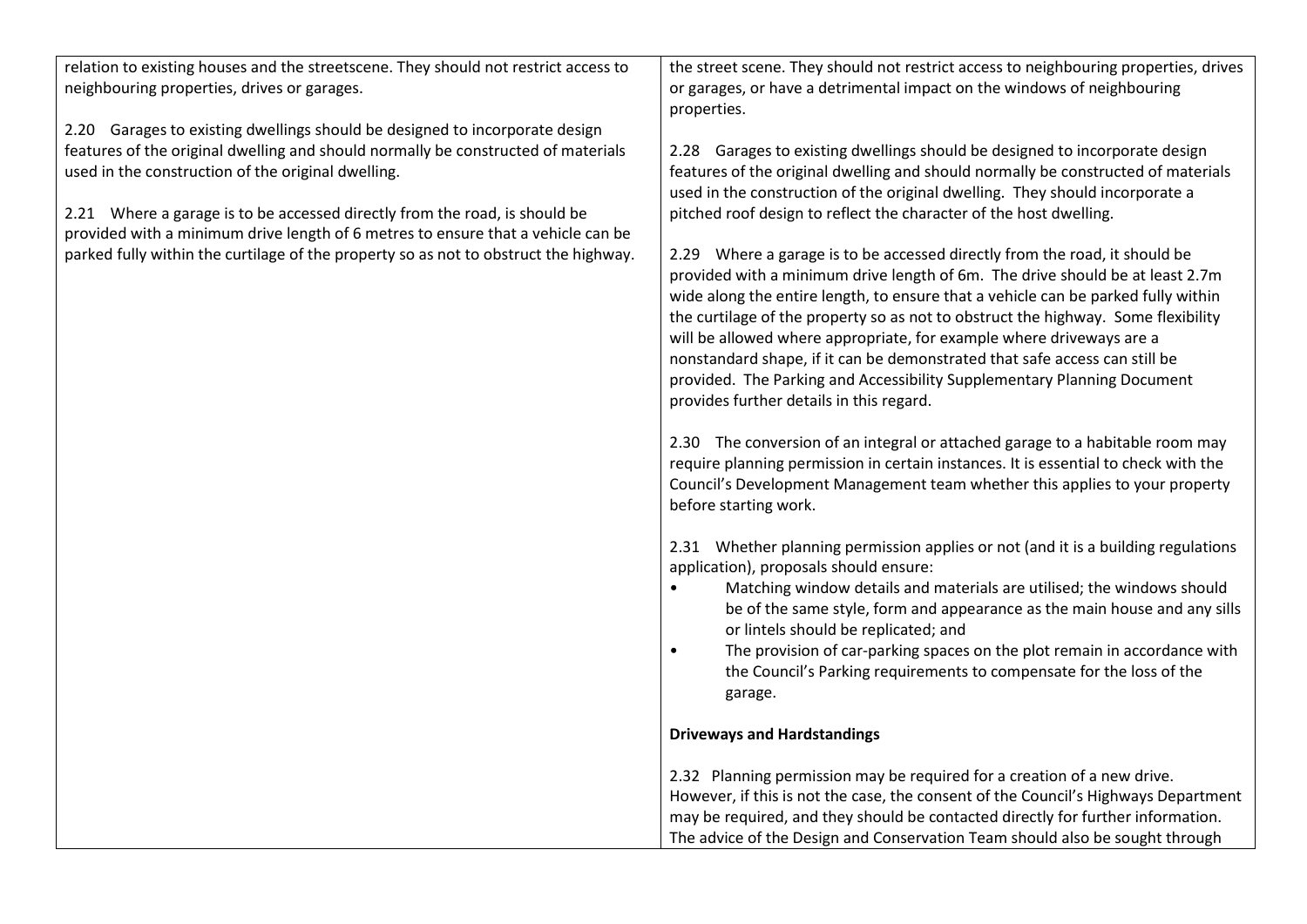| relation to existing houses and the streetscene. They should not restrict access to<br>neighbouring properties, drives or garages.                             | the street scene. They should not restrict access to neighbouring properties, drives<br>or garages, or have a detrimental impact on the windows of neighbouring<br>properties.                                                                                                                                                                                                                                                                                                                                                                                                                                     |
|----------------------------------------------------------------------------------------------------------------------------------------------------------------|--------------------------------------------------------------------------------------------------------------------------------------------------------------------------------------------------------------------------------------------------------------------------------------------------------------------------------------------------------------------------------------------------------------------------------------------------------------------------------------------------------------------------------------------------------------------------------------------------------------------|
| 2.20 Garages to existing dwellings should be designed to incorporate design                                                                                    |                                                                                                                                                                                                                                                                                                                                                                                                                                                                                                                                                                                                                    |
| features of the original dwelling and should normally be constructed of materials<br>used in the construction of the original dwelling.                        | 2.28 Garages to existing dwellings should be designed to incorporate design<br>features of the original dwelling and should normally be constructed of materials<br>used in the construction of the original dwelling. They should incorporate a                                                                                                                                                                                                                                                                                                                                                                   |
| 2.21 Where a garage is to be accessed directly from the road, is should be<br>provided with a minimum drive length of 6 metres to ensure that a vehicle can be | pitched roof design to reflect the character of the host dwelling.                                                                                                                                                                                                                                                                                                                                                                                                                                                                                                                                                 |
| parked fully within the curtilage of the property so as not to obstruct the highway.                                                                           | 2.29 Where a garage is to be accessed directly from the road, it should be<br>provided with a minimum drive length of 6m. The drive should be at least 2.7m<br>wide along the entire length, to ensure that a vehicle can be parked fully within<br>the curtilage of the property so as not to obstruct the highway. Some flexibility<br>will be allowed where appropriate, for example where driveways are a<br>nonstandard shape, if it can be demonstrated that safe access can still be<br>provided. The Parking and Accessibility Supplementary Planning Document<br>provides further details in this regard. |
|                                                                                                                                                                | 2.30 The conversion of an integral or attached garage to a habitable room may<br>require planning permission in certain instances. It is essential to check with the<br>Council's Development Management team whether this applies to your property<br>before starting work.                                                                                                                                                                                                                                                                                                                                       |
|                                                                                                                                                                | 2.31 Whether planning permission applies or not (and it is a building regulations<br>application), proposals should ensure:                                                                                                                                                                                                                                                                                                                                                                                                                                                                                        |
|                                                                                                                                                                | Matching window details and materials are utilised; the windows should<br>$\bullet$<br>be of the same style, form and appearance as the main house and any sills<br>or lintels should be replicated; and                                                                                                                                                                                                                                                                                                                                                                                                           |
|                                                                                                                                                                | The provision of car-parking spaces on the plot remain in accordance with<br>$\bullet$<br>the Council's Parking requirements to compensate for the loss of the<br>garage.                                                                                                                                                                                                                                                                                                                                                                                                                                          |
|                                                                                                                                                                | <b>Driveways and Hardstandings</b>                                                                                                                                                                                                                                                                                                                                                                                                                                                                                                                                                                                 |
|                                                                                                                                                                | 2.32 Planning permission may be required for a creation of a new drive.<br>However, if this is not the case, the consent of the Council's Highways Department                                                                                                                                                                                                                                                                                                                                                                                                                                                      |
|                                                                                                                                                                | may be required, and they should be contacted directly for further information.                                                                                                                                                                                                                                                                                                                                                                                                                                                                                                                                    |
|                                                                                                                                                                | The advice of the Design and Conservation Team should also be sought through                                                                                                                                                                                                                                                                                                                                                                                                                                                                                                                                       |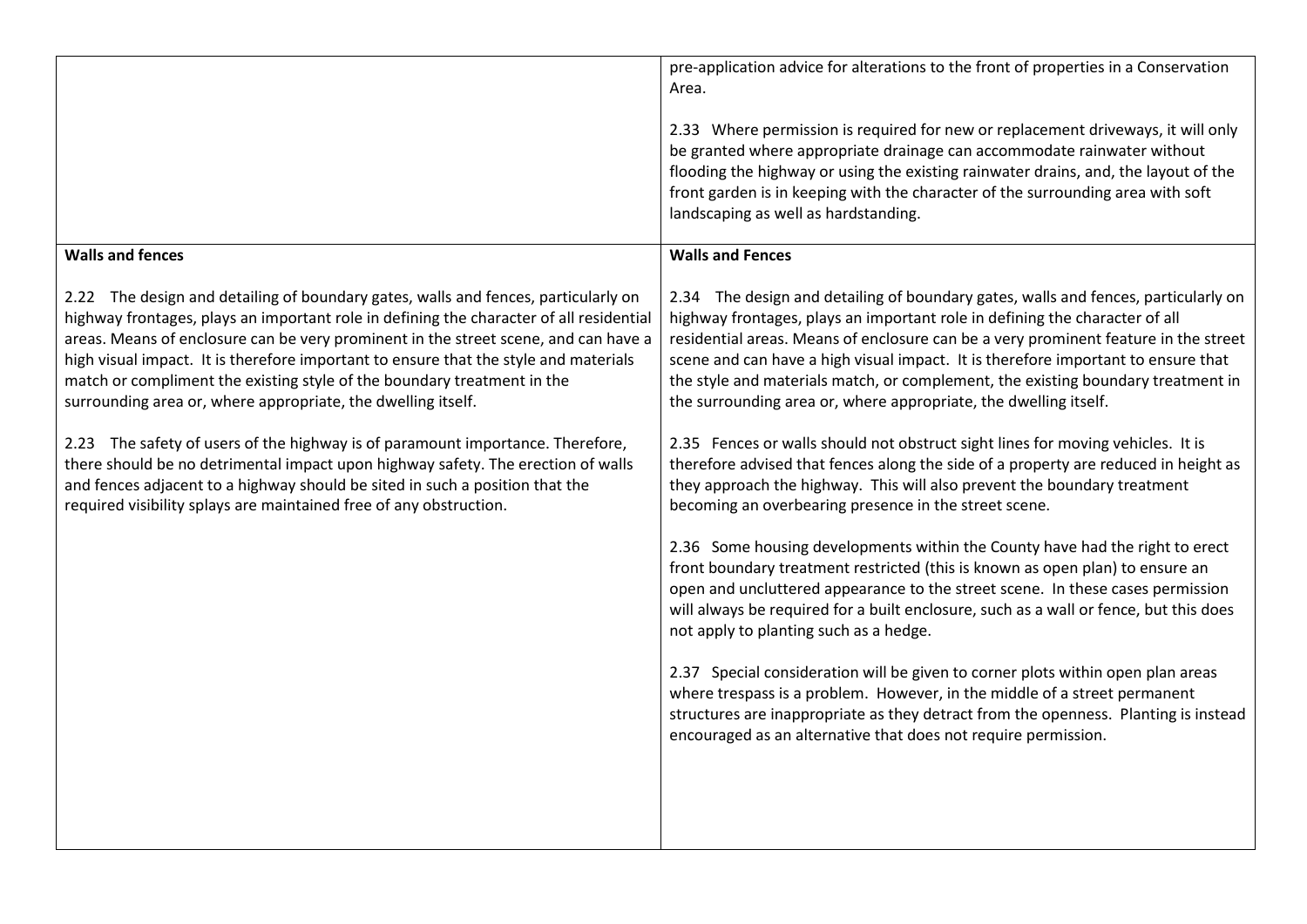|                                                                                                                                                                                                                                                                                                                                                                                                                                                                                                         | pre-application advice for alterations to the front of properties in a Conservation<br>Area.<br>2.33 Where permission is required for new or replacement driveways, it will only<br>be granted where appropriate drainage can accommodate rainwater without<br>flooding the highway or using the existing rainwater drains, and, the layout of the<br>front garden is in keeping with the character of the surrounding area with soft<br>landscaping as well as hardstanding.                         |
|---------------------------------------------------------------------------------------------------------------------------------------------------------------------------------------------------------------------------------------------------------------------------------------------------------------------------------------------------------------------------------------------------------------------------------------------------------------------------------------------------------|-------------------------------------------------------------------------------------------------------------------------------------------------------------------------------------------------------------------------------------------------------------------------------------------------------------------------------------------------------------------------------------------------------------------------------------------------------------------------------------------------------|
| <b>Walls and fences</b>                                                                                                                                                                                                                                                                                                                                                                                                                                                                                 | <b>Walls and Fences</b>                                                                                                                                                                                                                                                                                                                                                                                                                                                                               |
| 2.22 The design and detailing of boundary gates, walls and fences, particularly on<br>highway frontages, plays an important role in defining the character of all residential<br>areas. Means of enclosure can be very prominent in the street scene, and can have a<br>high visual impact. It is therefore important to ensure that the style and materials<br>match or compliment the existing style of the boundary treatment in the<br>surrounding area or, where appropriate, the dwelling itself. | 2.34 The design and detailing of boundary gates, walls and fences, particularly on<br>highway frontages, plays an important role in defining the character of all<br>residential areas. Means of enclosure can be a very prominent feature in the street<br>scene and can have a high visual impact. It is therefore important to ensure that<br>the style and materials match, or complement, the existing boundary treatment in<br>the surrounding area or, where appropriate, the dwelling itself. |
| 2.23 The safety of users of the highway is of paramount importance. Therefore,<br>there should be no detrimental impact upon highway safety. The erection of walls<br>and fences adjacent to a highway should be sited in such a position that the<br>required visibility splays are maintained free of any obstruction.                                                                                                                                                                                | 2.35 Fences or walls should not obstruct sight lines for moving vehicles. It is<br>therefore advised that fences along the side of a property are reduced in height as<br>they approach the highway. This will also prevent the boundary treatment<br>becoming an overbearing presence in the street scene.                                                                                                                                                                                           |
|                                                                                                                                                                                                                                                                                                                                                                                                                                                                                                         | 2.36 Some housing developments within the County have had the right to erect<br>front boundary treatment restricted (this is known as open plan) to ensure an<br>open and uncluttered appearance to the street scene. In these cases permission<br>will always be required for a built enclosure, such as a wall or fence, but this does<br>not apply to planting such as a hedge.                                                                                                                    |
|                                                                                                                                                                                                                                                                                                                                                                                                                                                                                                         | 2.37 Special consideration will be given to corner plots within open plan areas<br>where trespass is a problem. However, in the middle of a street permanent<br>structures are inappropriate as they detract from the openness. Planting is instead<br>encouraged as an alternative that does not require permission.                                                                                                                                                                                 |
|                                                                                                                                                                                                                                                                                                                                                                                                                                                                                                         |                                                                                                                                                                                                                                                                                                                                                                                                                                                                                                       |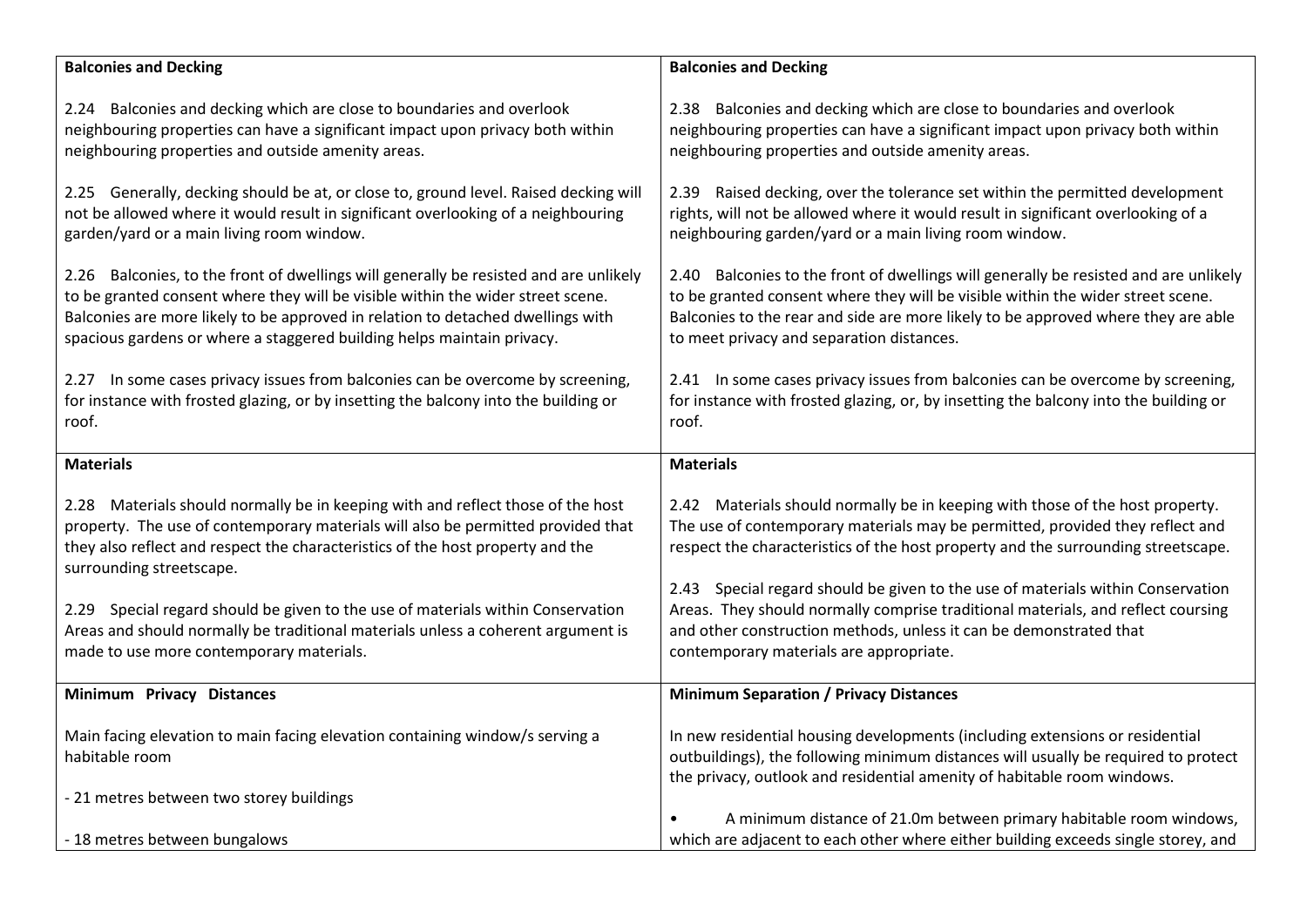| <b>Balconies and Decking</b>                                                                                                                                                                                                                                                                                                          | <b>Balconies and Decking</b>                                                                                                                                                                                                                                                                              |
|---------------------------------------------------------------------------------------------------------------------------------------------------------------------------------------------------------------------------------------------------------------------------------------------------------------------------------------|-----------------------------------------------------------------------------------------------------------------------------------------------------------------------------------------------------------------------------------------------------------------------------------------------------------|
| 2.24 Balconies and decking which are close to boundaries and overlook<br>neighbouring properties can have a significant impact upon privacy both within<br>neighbouring properties and outside amenity areas.                                                                                                                         | 2.38 Balconies and decking which are close to boundaries and overlook<br>neighbouring properties can have a significant impact upon privacy both within<br>neighbouring properties and outside amenity areas.                                                                                             |
| 2.25 Generally, decking should be at, or close to, ground level. Raised decking will<br>not be allowed where it would result in significant overlooking of a neighbouring<br>garden/yard or a main living room window.                                                                                                                | 2.39 Raised decking, over the tolerance set within the permitted development<br>rights, will not be allowed where it would result in significant overlooking of a<br>neighbouring garden/yard or a main living room window.                                                                               |
| 2.26 Balconies, to the front of dwellings will generally be resisted and are unlikely<br>to be granted consent where they will be visible within the wider street scene.<br>Balconies are more likely to be approved in relation to detached dwellings with<br>spacious gardens or where a staggered building helps maintain privacy. | 2.40 Balconies to the front of dwellings will generally be resisted and are unlikely<br>to be granted consent where they will be visible within the wider street scene.<br>Balconies to the rear and side are more likely to be approved where they are able<br>to meet privacy and separation distances. |
| 2.27 In some cases privacy issues from balconies can be overcome by screening,<br>for instance with frosted glazing, or by insetting the balcony into the building or<br>roof.                                                                                                                                                        | 2.41 In some cases privacy issues from balconies can be overcome by screening,<br>for instance with frosted glazing, or, by insetting the balcony into the building or<br>roof.                                                                                                                           |
| <b>Materials</b>                                                                                                                                                                                                                                                                                                                      | <b>Materials</b>                                                                                                                                                                                                                                                                                          |
| 2.28 Materials should normally be in keeping with and reflect those of the host<br>property. The use of contemporary materials will also be permitted provided that<br>they also reflect and respect the characteristics of the host property and the<br>surrounding streetscape.                                                     | 2.42 Materials should normally be in keeping with those of the host property.<br>The use of contemporary materials may be permitted, provided they reflect and<br>respect the characteristics of the host property and the surrounding streetscape.                                                       |
| 2.29 Special regard should be given to the use of materials within Conservation<br>Areas and should normally be traditional materials unless a coherent argument is<br>made to use more contemporary materials.                                                                                                                       | 2.43 Special regard should be given to the use of materials within Conservation<br>Areas. They should normally comprise traditional materials, and reflect coursing<br>and other construction methods, unless it can be demonstrated that<br>contemporary materials are appropriate.                      |
| Minimum Privacy Distances                                                                                                                                                                                                                                                                                                             | <b>Minimum Separation / Privacy Distances</b>                                                                                                                                                                                                                                                             |
| Main facing elevation to main facing elevation containing window/s serving a<br>habitable room                                                                                                                                                                                                                                        | In new residential housing developments (including extensions or residential<br>outbuildings), the following minimum distances will usually be required to protect<br>the privacy, outlook and residential amenity of habitable room windows.                                                             |
| - 21 metres between two storey buildings                                                                                                                                                                                                                                                                                              | A minimum distance of 21.0m between primary habitable room windows,                                                                                                                                                                                                                                       |
| - 18 metres between bungalows                                                                                                                                                                                                                                                                                                         | which are adjacent to each other where either building exceeds single storey, and                                                                                                                                                                                                                         |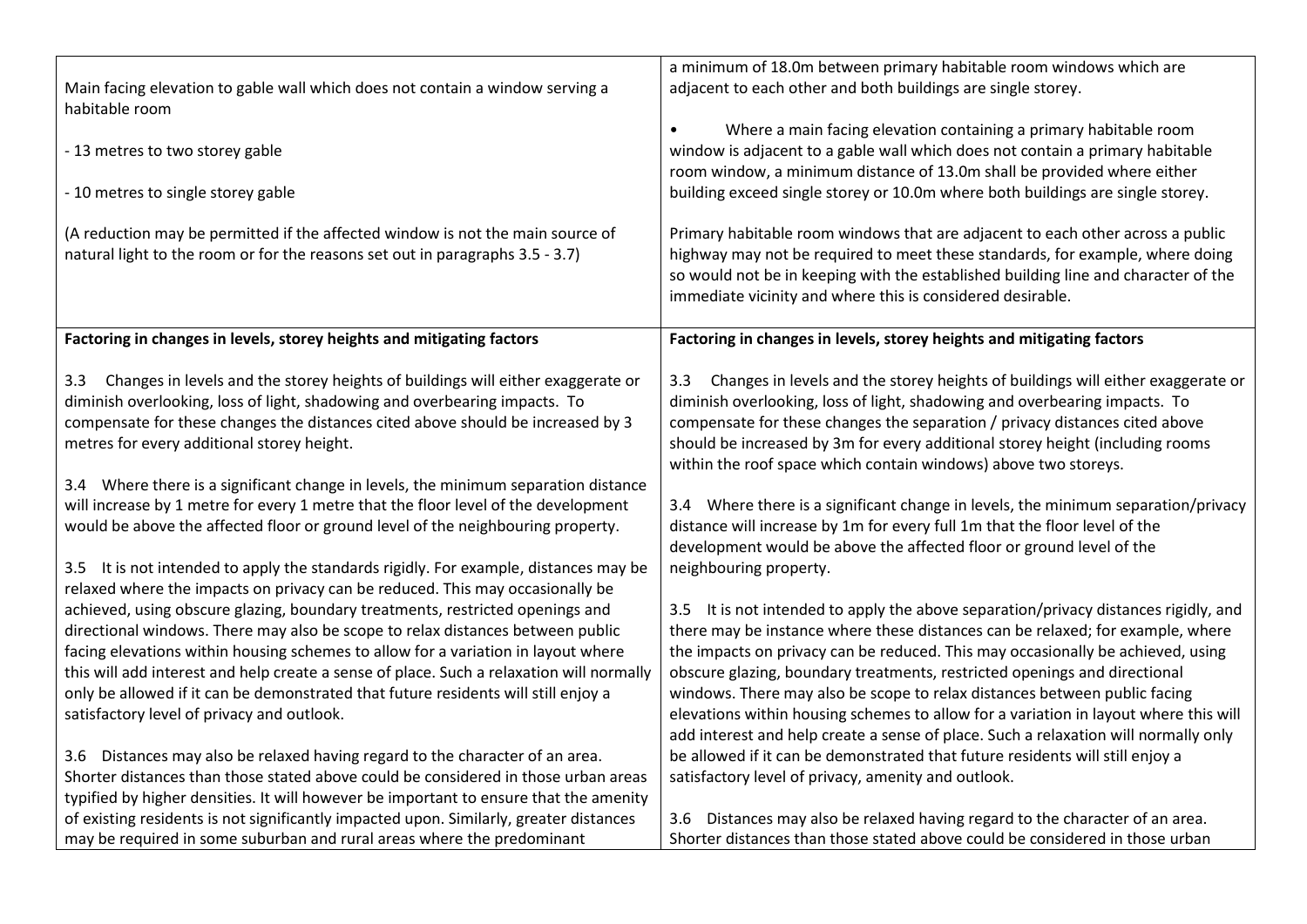|                                                                                                                                                                       | a minimum of 18.0m between primary habitable room windows which are                                                                                                  |
|-----------------------------------------------------------------------------------------------------------------------------------------------------------------------|----------------------------------------------------------------------------------------------------------------------------------------------------------------------|
| Main facing elevation to gable wall which does not contain a window serving a<br>habitable room                                                                       | adjacent to each other and both buildings are single storey.                                                                                                         |
|                                                                                                                                                                       | Where a main facing elevation containing a primary habitable room<br>$\bullet$                                                                                       |
| - 13 metres to two storey gable                                                                                                                                       | window is adjacent to a gable wall which does not contain a primary habitable                                                                                        |
|                                                                                                                                                                       | room window, a minimum distance of 13.0m shall be provided where either                                                                                              |
| - 10 metres to single storey gable                                                                                                                                    | building exceed single storey or 10.0m where both buildings are single storey.                                                                                       |
| (A reduction may be permitted if the affected window is not the main source of                                                                                        | Primary habitable room windows that are adjacent to each other across a public                                                                                       |
| natural light to the room or for the reasons set out in paragraphs 3.5 - 3.7)                                                                                         | highway may not be required to meet these standards, for example, where doing                                                                                        |
|                                                                                                                                                                       | so would not be in keeping with the established building line and character of the                                                                                   |
|                                                                                                                                                                       | immediate vicinity and where this is considered desirable.                                                                                                           |
|                                                                                                                                                                       |                                                                                                                                                                      |
| Factoring in changes in levels, storey heights and mitigating factors                                                                                                 | Factoring in changes in levels, storey heights and mitigating factors                                                                                                |
| Changes in levels and the storey heights of buildings will either exaggerate or<br>3.3                                                                                | Changes in levels and the storey heights of buildings will either exaggerate or<br>3.3                                                                               |
| diminish overlooking, loss of light, shadowing and overbearing impacts. To                                                                                            | diminish overlooking, loss of light, shadowing and overbearing impacts. To                                                                                           |
| compensate for these changes the distances cited above should be increased by 3                                                                                       | compensate for these changes the separation / privacy distances cited above                                                                                          |
| metres for every additional storey height.                                                                                                                            | should be increased by 3m for every additional storey height (including rooms                                                                                        |
|                                                                                                                                                                       | within the roof space which contain windows) above two storeys.                                                                                                      |
| 3.4 Where there is a significant change in levels, the minimum separation distance                                                                                    |                                                                                                                                                                      |
| will increase by 1 metre for every 1 metre that the floor level of the development<br>would be above the affected floor or ground level of the neighbouring property. | 3.4 Where there is a significant change in levels, the minimum separation/privacy<br>distance will increase by 1m for every full 1m that the floor level of the      |
|                                                                                                                                                                       | development would be above the affected floor or ground level of the                                                                                                 |
| 3.5 It is not intended to apply the standards rigidly. For example, distances may be                                                                                  | neighbouring property.                                                                                                                                               |
| relaxed where the impacts on privacy can be reduced. This may occasionally be                                                                                         |                                                                                                                                                                      |
| achieved, using obscure glazing, boundary treatments, restricted openings and                                                                                         | 3.5 It is not intended to apply the above separation/privacy distances rigidly, and                                                                                  |
| directional windows. There may also be scope to relax distances between public                                                                                        | there may be instance where these distances can be relaxed; for example, where                                                                                       |
| facing elevations within housing schemes to allow for a variation in layout where                                                                                     | the impacts on privacy can be reduced. This may occasionally be achieved, using                                                                                      |
| this will add interest and help create a sense of place. Such a relaxation will normally                                                                              | obscure glazing, boundary treatments, restricted openings and directional                                                                                            |
| only be allowed if it can be demonstrated that future residents will still enjoy a                                                                                    | windows. There may also be scope to relax distances between public facing                                                                                            |
| satisfactory level of privacy and outlook.                                                                                                                            | elevations within housing schemes to allow for a variation in layout where this will                                                                                 |
|                                                                                                                                                                       | add interest and help create a sense of place. Such a relaxation will normally only<br>be allowed if it can be demonstrated that future residents will still enjoy a |
| 3.6 Distances may also be relaxed having regard to the character of an area.<br>Shorter distances than those stated above could be considered in those urban areas    | satisfactory level of privacy, amenity and outlook.                                                                                                                  |
| typified by higher densities. It will however be important to ensure that the amenity                                                                                 |                                                                                                                                                                      |
| of existing residents is not significantly impacted upon. Similarly, greater distances                                                                                | Distances may also be relaxed having regard to the character of an area.<br>3.6                                                                                      |
| may be required in some suburban and rural areas where the predominant                                                                                                | Shorter distances than those stated above could be considered in those urban                                                                                         |